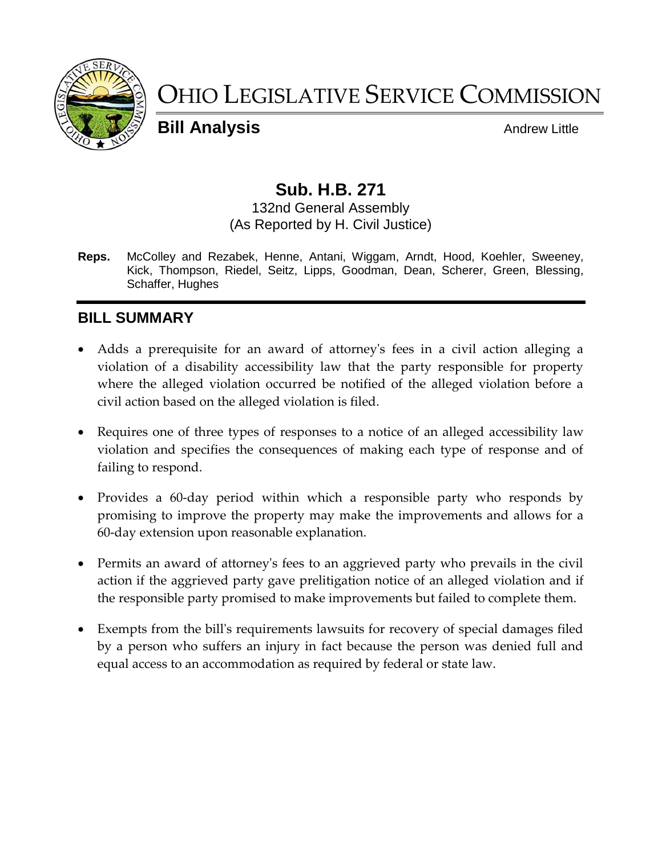

# OHIO LEGISLATIVE SERVICE COMMISSION

**Bill Analysis** Andrew Little

## **Sub. H.B. 271**

132nd General Assembly (As Reported by H. Civil Justice)

**Reps.** McColley and Rezabek, Henne, Antani, Wiggam, Arndt, Hood, Koehler, Sweeney, Kick, Thompson, Riedel, Seitz, Lipps, Goodman, Dean, Scherer, Green, Blessing, Schaffer, Hughes

#### **BILL SUMMARY**

- Adds a prerequisite for an award of attorney's fees in a civil action alleging a violation of a disability accessibility law that the party responsible for property where the alleged violation occurred be notified of the alleged violation before a civil action based on the alleged violation is filed.
- Requires one of three types of responses to a notice of an alleged accessibility law violation and specifies the consequences of making each type of response and of failing to respond.
- Provides a 60-day period within which a responsible party who responds by promising to improve the property may make the improvements and allows for a 60-day extension upon reasonable explanation.
- Permits an award of attorney's fees to an aggrieved party who prevails in the civil action if the aggrieved party gave prelitigation notice of an alleged violation and if the responsible party promised to make improvements but failed to complete them.
- Exempts from the bill's requirements lawsuits for recovery of special damages filed by a person who suffers an injury in fact because the person was denied full and equal access to an accommodation as required by federal or state law.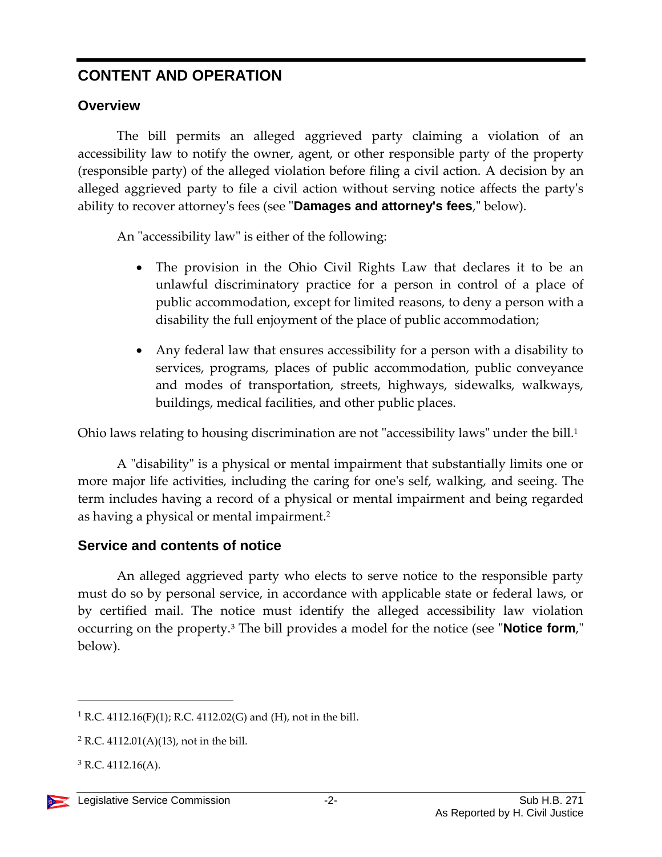### **CONTENT AND OPERATION**

#### **Overview**

The bill permits an alleged aggrieved party claiming a violation of an accessibility law to notify the owner, agent, or other responsible party of the property (responsible party) of the alleged violation before filing a civil action. A decision by an alleged aggrieved party to file a civil action without serving notice affects the party's ability to recover attorney's fees (see "**Damages and attorney's fees**," below).

An "accessibility law" is either of the following:

- The provision in the Ohio Civil Rights Law that declares it to be an unlawful discriminatory practice for a person in control of a place of public accommodation, except for limited reasons, to deny a person with a disability the full enjoyment of the place of public accommodation;
- Any federal law that ensures accessibility for a person with a disability to services, programs, places of public accommodation, public conveyance and modes of transportation, streets, highways, sidewalks, walkways, buildings, medical facilities, and other public places.

Ohio laws relating to housing discrimination are not "accessibility laws" under the bill. 1

A "disability" is a physical or mental impairment that substantially limits one or more major life activities, including the caring for one's self, walking, and seeing. The term includes having a record of a physical or mental impairment and being regarded as having a physical or mental impairment.<sup>2</sup>

#### **Service and contents of notice**

An alleged aggrieved party who elects to serve notice to the responsible party must do so by personal service, in accordance with applicable state or federal laws, or by certified mail. The notice must identify the alleged accessibility law violation occurring on the property.<sup>3</sup> The bill provides a model for the notice (see "**Notice form**," below).

<sup>&</sup>lt;sup>1</sup> R.C. 4112.16(F)(1); R.C. 4112.02(G) and (H), not in the bill.

 $2$  R.C. 4112.01(A)(13), not in the bill.

 $3$  R.C. 4112.16(A).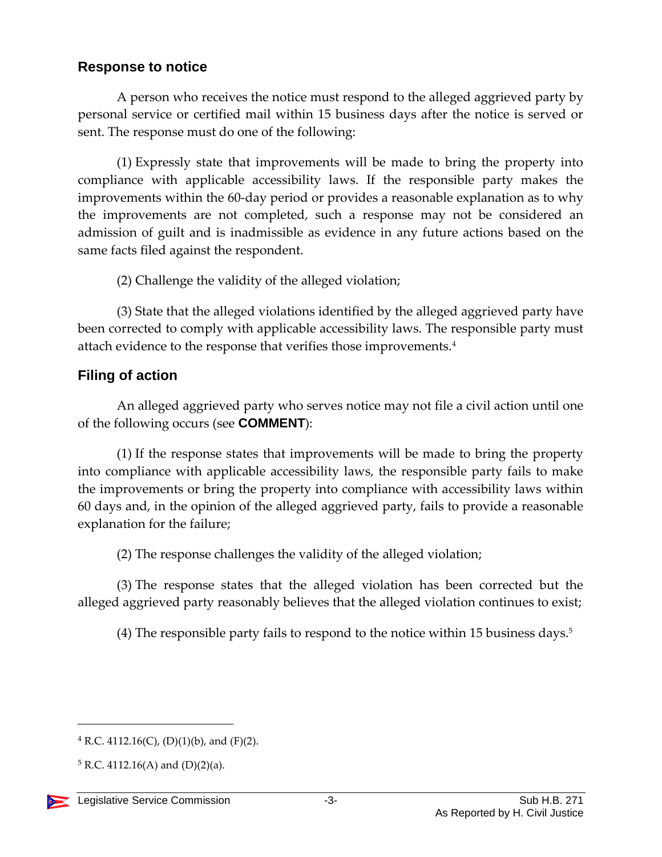#### **Response to notice**

A person who receives the notice must respond to the alleged aggrieved party by personal service or certified mail within 15 business days after the notice is served or sent. The response must do one of the following:

(1) Expressly state that improvements will be made to bring the property into compliance with applicable accessibility laws. If the responsible party makes the improvements within the 60-day period or provides a reasonable explanation as to why the improvements are not completed, such a response may not be considered an admission of guilt and is inadmissible as evidence in any future actions based on the same facts filed against the respondent.

(2) Challenge the validity of the alleged violation;

(3) State that the alleged violations identified by the alleged aggrieved party have been corrected to comply with applicable accessibility laws. The responsible party must attach evidence to the response that verifies those improvements.<sup>4</sup>

#### **Filing of action**

An alleged aggrieved party who serves notice may not file a civil action until one of the following occurs (see **COMMENT**):

(1) If the response states that improvements will be made to bring the property into compliance with applicable accessibility laws, the responsible party fails to make the improvements or bring the property into compliance with accessibility laws within 60 days and, in the opinion of the alleged aggrieved party, fails to provide a reasonable explanation for the failure;

(2) The response challenges the validity of the alleged violation;

(3) The response states that the alleged violation has been corrected but the alleged aggrieved party reasonably believes that the alleged violation continues to exist;

(4) The responsible party fails to respond to the notice within 15 business days.<sup>5</sup>

 $4$  R.C. 4112.16(C), (D)(1)(b), and (F)(2).

 $5 R.C. 4112.16(A)$  and  $(D)(2)(a)$ .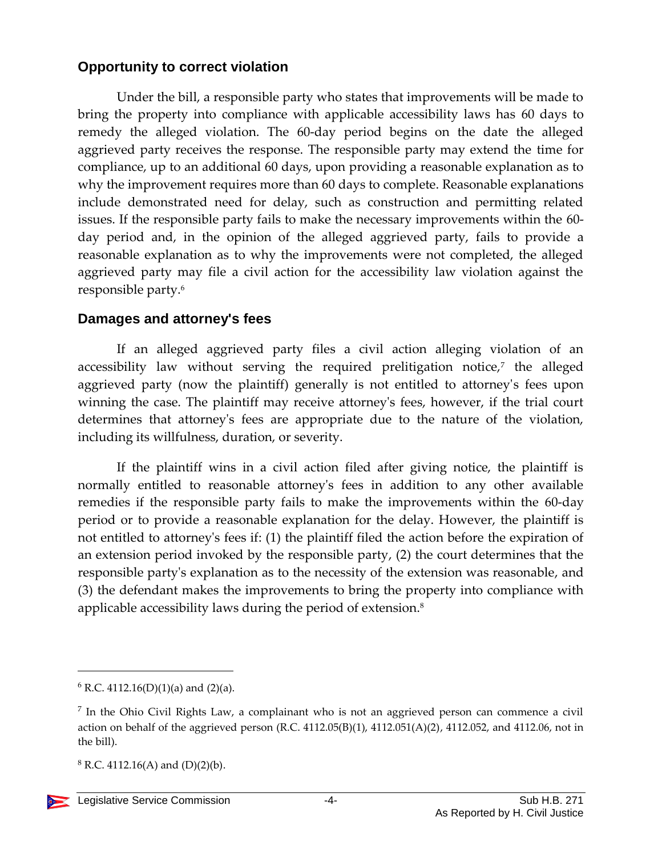#### **Opportunity to correct violation**

Under the bill, a responsible party who states that improvements will be made to bring the property into compliance with applicable accessibility laws has 60 days to remedy the alleged violation. The 60-day period begins on the date the alleged aggrieved party receives the response. The responsible party may extend the time for compliance, up to an additional 60 days, upon providing a reasonable explanation as to why the improvement requires more than 60 days to complete. Reasonable explanations include demonstrated need for delay, such as construction and permitting related issues. If the responsible party fails to make the necessary improvements within the 60 day period and, in the opinion of the alleged aggrieved party, fails to provide a reasonable explanation as to why the improvements were not completed, the alleged aggrieved party may file a civil action for the accessibility law violation against the responsible party.<sup>6</sup>

#### **Damages and attorney's fees**

If an alleged aggrieved party files a civil action alleging violation of an accessibility law without serving the required prelitigation notice,<sup>7</sup> the alleged aggrieved party (now the plaintiff) generally is not entitled to attorney's fees upon winning the case. The plaintiff may receive attorney's fees, however, if the trial court determines that attorney's fees are appropriate due to the nature of the violation, including its willfulness, duration, or severity.

If the plaintiff wins in a civil action filed after giving notice, the plaintiff is normally entitled to reasonable attorney's fees in addition to any other available remedies if the responsible party fails to make the improvements within the 60-day period or to provide a reasonable explanation for the delay. However, the plaintiff is not entitled to attorney's fees if: (1) the plaintiff filed the action before the expiration of an extension period invoked by the responsible party, (2) the court determines that the responsible party's explanation as to the necessity of the extension was reasonable, and (3) the defendant makes the improvements to bring the property into compliance with applicable accessibility laws during the period of extension. 8

 $6$  R.C. 4112.16(D)(1)(a) and (2)(a).

<sup>&</sup>lt;sup>7</sup> In the Ohio Civil Rights Law, a complainant who is not an aggrieved person can commence a civil action on behalf of the aggrieved person (R.C. 4112.05(B)(1), 4112.051(A)(2), 4112.052, and 4112.06, not in the bill).

 $8$  R.C. 4112.16(A) and (D)(2)(b).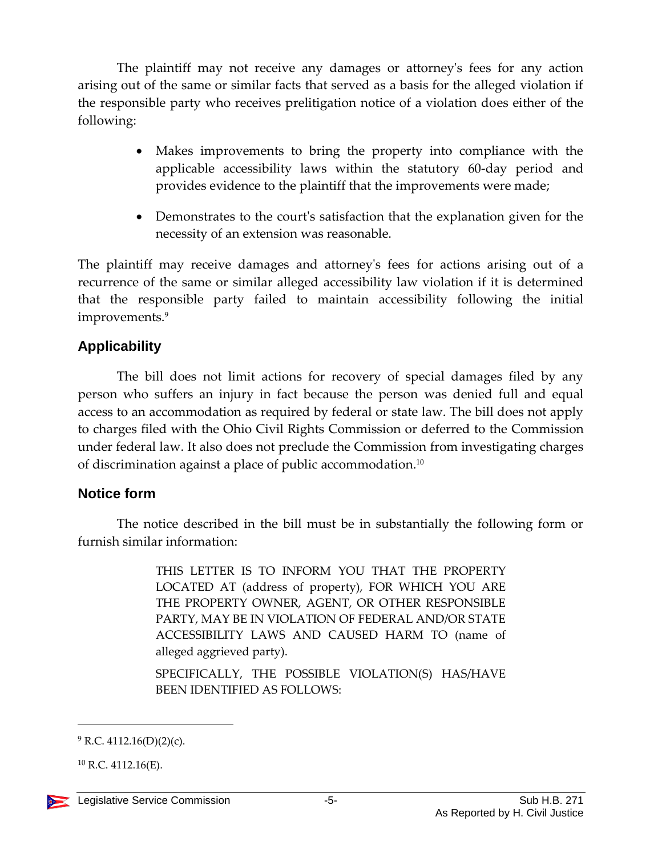The plaintiff may not receive any damages or attorney's fees for any action arising out of the same or similar facts that served as a basis for the alleged violation if the responsible party who receives prelitigation notice of a violation does either of the following:

- Makes improvements to bring the property into compliance with the applicable accessibility laws within the statutory 60-day period and provides evidence to the plaintiff that the improvements were made;
- Demonstrates to the court's satisfaction that the explanation given for the necessity of an extension was reasonable.

The plaintiff may receive damages and attorney's fees for actions arising out of a recurrence of the same or similar alleged accessibility law violation if it is determined that the responsible party failed to maintain accessibility following the initial improvements.<sup>9</sup>

#### **Applicability**

The bill does not limit actions for recovery of special damages filed by any person who suffers an injury in fact because the person was denied full and equal access to an accommodation as required by federal or state law. The bill does not apply to charges filed with the Ohio Civil Rights Commission or deferred to the Commission under federal law. It also does not preclude the Commission from investigating charges of discrimination against a place of public accommodation. $^{\rm 10}$ 

#### **Notice form**

The notice described in the bill must be in substantially the following form or furnish similar information:

> THIS LETTER IS TO INFORM YOU THAT THE PROPERTY LOCATED AT (address of property), FOR WHICH YOU ARE THE PROPERTY OWNER, AGENT, OR OTHER RESPONSIBLE PARTY, MAY BE IN VIOLATION OF FEDERAL AND/OR STATE ACCESSIBILITY LAWS AND CAUSED HARM TO (name of alleged aggrieved party).

> SPECIFICALLY, THE POSSIBLE VIOLATION(S) HAS/HAVE BEEN IDENTIFIED AS FOLLOWS:

 $10$  R.C. 4112.16(E).



 $9$  R.C. 4112.16(D)(2)(c).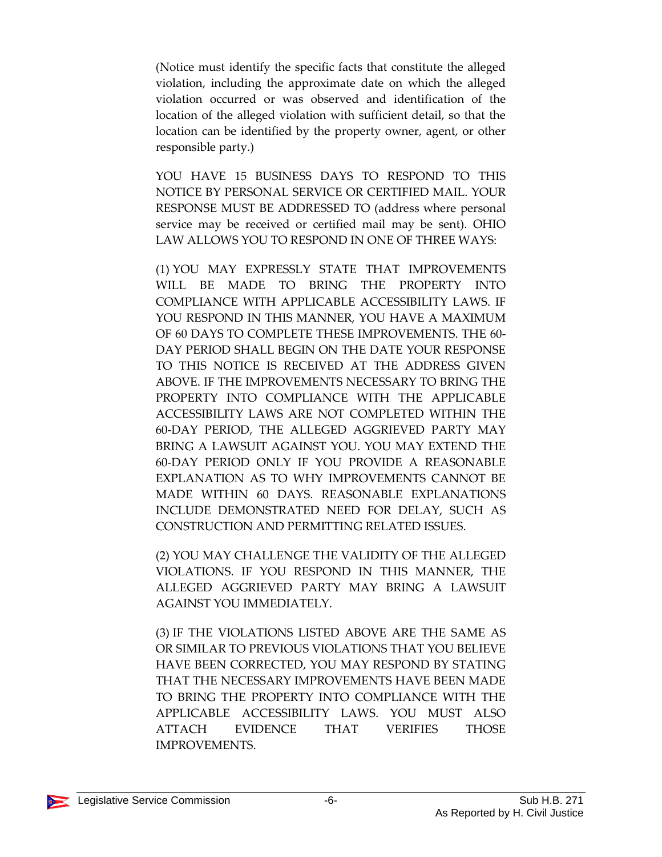(Notice must identify the specific facts that constitute the alleged violation, including the approximate date on which the alleged violation occurred or was observed and identification of the location of the alleged violation with sufficient detail, so that the location can be identified by the property owner, agent, or other responsible party.)

YOU HAVE 15 BUSINESS DAYS TO RESPOND TO THIS NOTICE BY PERSONAL SERVICE OR CERTIFIED MAIL. YOUR RESPONSE MUST BE ADDRESSED TO (address where personal service may be received or certified mail may be sent). OHIO LAW ALLOWS YOU TO RESPOND IN ONE OF THREE WAYS:

(1) YOU MAY EXPRESSLY STATE THAT IMPROVEMENTS WILL BE MADE TO BRING THE PROPERTY INTO COMPLIANCE WITH APPLICABLE ACCESSIBILITY LAWS. IF YOU RESPOND IN THIS MANNER, YOU HAVE A MAXIMUM OF 60 DAYS TO COMPLETE THESE IMPROVEMENTS. THE 60- DAY PERIOD SHALL BEGIN ON THE DATE YOUR RESPONSE TO THIS NOTICE IS RECEIVED AT THE ADDRESS GIVEN ABOVE. IF THE IMPROVEMENTS NECESSARY TO BRING THE PROPERTY INTO COMPLIANCE WITH THE APPLICABLE ACCESSIBILITY LAWS ARE NOT COMPLETED WITHIN THE 60-DAY PERIOD, THE ALLEGED AGGRIEVED PARTY MAY BRING A LAWSUIT AGAINST YOU. YOU MAY EXTEND THE 60-DAY PERIOD ONLY IF YOU PROVIDE A REASONABLE EXPLANATION AS TO WHY IMPROVEMENTS CANNOT BE MADE WITHIN 60 DAYS. REASONABLE EXPLANATIONS INCLUDE DEMONSTRATED NEED FOR DELAY, SUCH AS CONSTRUCTION AND PERMITTING RELATED ISSUES.

(2) YOU MAY CHALLENGE THE VALIDITY OF THE ALLEGED VIOLATIONS. IF YOU RESPOND IN THIS MANNER, THE ALLEGED AGGRIEVED PARTY MAY BRING A LAWSUIT AGAINST YOU IMMEDIATELY.

(3) IF THE VIOLATIONS LISTED ABOVE ARE THE SAME AS OR SIMILAR TO PREVIOUS VIOLATIONS THAT YOU BELIEVE HAVE BEEN CORRECTED, YOU MAY RESPOND BY STATING THAT THE NECESSARY IMPROVEMENTS HAVE BEEN MADE TO BRING THE PROPERTY INTO COMPLIANCE WITH THE APPLICABLE ACCESSIBILITY LAWS. YOU MUST ALSO ATTACH EVIDENCE THAT VERIFIES THOSE IMPROVEMENTS.